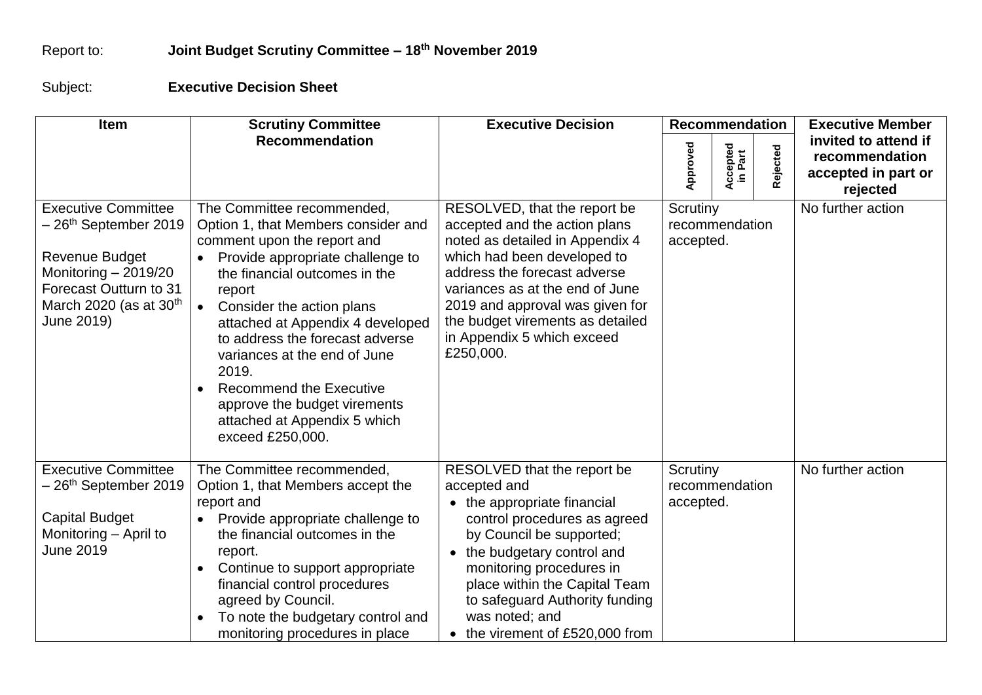## Report to: **Joint Budget Scrutiny Committee – 18th November 2019**

## Subject: **Executive Decision Sheet**

| <b>Item</b>                                                                                                                                                                    | <b>Scrutiny Committee</b>                                                                                                                                                                                                                                                                                                                                                                                                                                                    | <b>Executive Decision</b>                                                                                                                                                                                                                                                                                                                       | <b>Recommendation</b>                   |                     |          | <b>Executive Member</b>                                                   |
|--------------------------------------------------------------------------------------------------------------------------------------------------------------------------------|------------------------------------------------------------------------------------------------------------------------------------------------------------------------------------------------------------------------------------------------------------------------------------------------------------------------------------------------------------------------------------------------------------------------------------------------------------------------------|-------------------------------------------------------------------------------------------------------------------------------------------------------------------------------------------------------------------------------------------------------------------------------------------------------------------------------------------------|-----------------------------------------|---------------------|----------|---------------------------------------------------------------------------|
|                                                                                                                                                                                | <b>Recommendation</b>                                                                                                                                                                                                                                                                                                                                                                                                                                                        |                                                                                                                                                                                                                                                                                                                                                 | Approved                                | iccepted<br>in Part | Rejected | invited to attend if<br>recommendation<br>accepted in part or<br>rejected |
| <b>Executive Committee</b><br>- 26 <sup>th</sup> September 2019<br>Revenue Budget<br>Monitoring $-2019/20$<br>Forecast Outturn to 31<br>March 2020 (as at $30th$<br>June 2019) | The Committee recommended,<br>Option 1, that Members consider and<br>comment upon the report and<br>Provide appropriate challenge to<br>the financial outcomes in the<br>report<br>Consider the action plans<br>$\bullet$<br>attached at Appendix 4 developed<br>to address the forecast adverse<br>variances at the end of June<br>2019.<br><b>Recommend the Executive</b><br>$\bullet$<br>approve the budget virements<br>attached at Appendix 5 which<br>exceed £250,000. | RESOLVED, that the report be<br>accepted and the action plans<br>noted as detailed in Appendix 4<br>which had been developed to<br>address the forecast adverse<br>variances as at the end of June<br>2019 and approval was given for<br>the budget virements as detailed<br>in Appendix 5 which exceed<br>£250,000.                            | Scrutiny<br>recommendation<br>accepted. |                     |          | No further action                                                         |
| <b>Executive Committee</b><br>- 26 <sup>th</sup> September 2019<br><b>Capital Budget</b><br>Monitoring - April to<br><b>June 2019</b>                                          | The Committee recommended,<br>Option 1, that Members accept the<br>report and<br>Provide appropriate challenge to<br>$\bullet$<br>the financial outcomes in the<br>report.<br>Continue to support appropriate<br>$\bullet$<br>financial control procedures<br>agreed by Council.<br>To note the budgetary control and<br>$\bullet$<br>monitoring procedures in place                                                                                                         | RESOLVED that the report be<br>accepted and<br>• the appropriate financial<br>control procedures as agreed<br>by Council be supported;<br>the budgetary control and<br>$\bullet$<br>monitoring procedures in<br>place within the Capital Team<br>to safeguard Authority funding<br>was noted; and<br>the virement of £520,000 from<br>$\bullet$ | Scrutiny<br>recommendation<br>accepted. |                     |          | No further action                                                         |